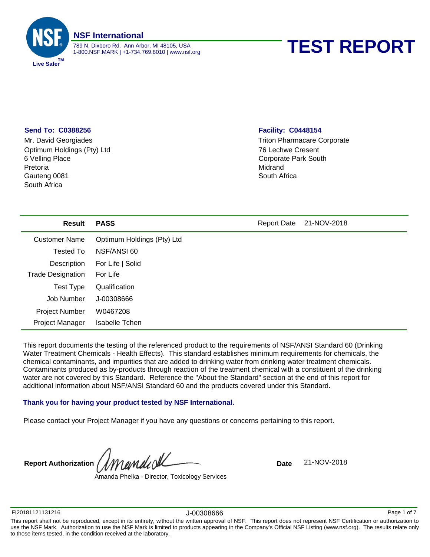

# 1-800.NSF.MARK | +1-734.769.8010 | www.nsf.org **TEST REPORT**

# **Send To: C0388256**

6 Velling Place South Africa Pretoria Gauteng 0081 Mr. David Georgiades Optimum Holdings (Pty) Ltd

# **Facility: C0448154**

Triton Pharmacare Corporate 76 Lechwe Cresent Corporate Park South Midrand South Africa

| <b>Result</b>            | <b>PASS</b>                | <b>Report Date</b> | 21-NOV-2018 |
|--------------------------|----------------------------|--------------------|-------------|
| <b>Customer Name</b>     | Optimum Holdings (Pty) Ltd |                    |             |
| Tested To                | NSF/ANSI 60                |                    |             |
| Description              | For Life   Solid           |                    |             |
| <b>Trade Designation</b> | For Life                   |                    |             |
| <b>Test Type</b>         | Qualification              |                    |             |
| Job Number               | J-00308666                 |                    |             |
| <b>Project Number</b>    | W0467208                   |                    |             |
| Project Manager          | <b>Isabelle Tchen</b>      |                    |             |

This report documents the testing of the referenced product to the requirements of NSF/ANSI Standard 60 (Drinking Water Treatment Chemicals - Health Effects). This standard establishes minimum requirements for chemicals, the chemical contaminants, and impurities that are added to drinking water from drinking water treatment chemicals. Contaminants produced as by-products through reaction of the treatment chemical with a constituent of the drinking water are not covered by this Standard. Reference the "About the Standard" section at the end of this report for additional information about NSF/ANSI Standard 60 and the products covered under this Standard.

# **Thank you for having your product tested by NSF International.**

Please contact your Project Manager if you have any questions or concerns pertaining to this report.

**Report Authorization** *MMuMUU***<sup>U</sup>** 

Amanda Phelka - Director, Toxicology Services

FI20181121131216 J-00308666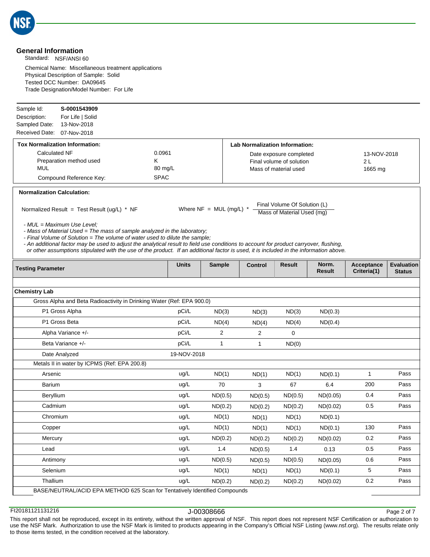

# **General Information**

Standard: NSF/ANSI 60

Chemical Name: Miscellaneous treatment applications Physical Description of Sample: Solid Tested DCC Number: DA09645 Trade Designation/Model Number: For Life

| Sample Id:                        | S-0001543909                                                                                                                                                                                                                                                                                                                                                                                                                                                              |              |                           |                                       |                                                            |                 |                           |                                    |
|-----------------------------------|---------------------------------------------------------------------------------------------------------------------------------------------------------------------------------------------------------------------------------------------------------------------------------------------------------------------------------------------------------------------------------------------------------------------------------------------------------------------------|--------------|---------------------------|---------------------------------------|------------------------------------------------------------|-----------------|---------------------------|------------------------------------|
| Description:                      | For Life   Solid                                                                                                                                                                                                                                                                                                                                                                                                                                                          |              |                           |                                       |                                                            |                 |                           |                                    |
| Sampled Date:                     | 13-Nov-2018                                                                                                                                                                                                                                                                                                                                                                                                                                                               |              |                           |                                       |                                                            |                 |                           |                                    |
| Received Date:                    | 07-Nov-2018                                                                                                                                                                                                                                                                                                                                                                                                                                                               |              |                           |                                       |                                                            |                 |                           |                                    |
|                                   | <b>Tox Normalization Information:</b>                                                                                                                                                                                                                                                                                                                                                                                                                                     |              |                           | <b>Lab Normalization Information:</b> |                                                            |                 |                           |                                    |
| <b>Calculated NF</b>              | Preparation method used                                                                                                                                                                                                                                                                                                                                                                                                                                                   | 0.0961<br>Κ  |                           |                                       | Date exposure completed<br>Final volume of solution        |                 | 13-NOV-2018<br>2 L        |                                    |
| <b>MUL</b>                        |                                                                                                                                                                                                                                                                                                                                                                                                                                                                           | 80 mg/L      |                           |                                       | Mass of material used                                      |                 | 1665 mg                   |                                    |
|                                   | Compound Reference Key:                                                                                                                                                                                                                                                                                                                                                                                                                                                   | <b>SPAC</b>  |                           |                                       |                                                            |                 |                           |                                    |
| <b>Normalization Calculation:</b> |                                                                                                                                                                                                                                                                                                                                                                                                                                                                           |              |                           |                                       |                                                            |                 |                           |                                    |
|                                   | Normalized Result = Test Result (ug/L) * NF                                                                                                                                                                                                                                                                                                                                                                                                                               |              | Where $NF = MUL$ (mg/L) * |                                       | Final Volume Of Solution (L)<br>Mass of Material Used (mg) |                 |                           |                                    |
|                                   | - MUL = Maximum Use Level:<br>- Mass of Material Used = The mass of sample analyzed in the laboratory;<br>- Final Volume of Solution = The volume of water used to dilute the sample;<br>- An additional factor may be used to adjust the analytical result to field use conditions to account for product carryover, flushing,<br>or other assumptions stipulated with the use of the product. If an additional factor is used, it is included in the information above. |              |                           |                                       |                                                            |                 |                           |                                    |
| <b>Testing Parameter</b>          |                                                                                                                                                                                                                                                                                                                                                                                                                                                                           | <b>Units</b> | <b>Sample</b>             | Control                               | <b>Result</b>                                              | Norm.<br>Result | Acceptance<br>Criteria(1) | <b>Evaluation</b><br><b>Status</b> |
|                                   |                                                                                                                                                                                                                                                                                                                                                                                                                                                                           |              |                           |                                       |                                                            |                 |                           |                                    |
| <b>Chemistry Lab</b>              |                                                                                                                                                                                                                                                                                                                                                                                                                                                                           |              |                           |                                       |                                                            |                 |                           |                                    |
|                                   | Gross Alpha and Beta Radioactivity in Drinking Water (Ref: EPA 900.0)                                                                                                                                                                                                                                                                                                                                                                                                     |              |                           |                                       |                                                            |                 |                           |                                    |
|                                   | P1 Gross Alpha                                                                                                                                                                                                                                                                                                                                                                                                                                                            | pCi/L        | ND(3)                     | ND(3)                                 | ND(3)                                                      | ND(0.3)         |                           |                                    |
|                                   | P1 Gross Beta                                                                                                                                                                                                                                                                                                                                                                                                                                                             | pCi/L        | ND(4)                     | ND(4)                                 | ND(4)                                                      | ND(0.4)         |                           |                                    |
|                                   | Alpha Variance +/-                                                                                                                                                                                                                                                                                                                                                                                                                                                        | pCi/L        | 2                         | $\overline{2}$                        | $\mathbf 0$                                                |                 |                           |                                    |
|                                   | Beta Variance +/-                                                                                                                                                                                                                                                                                                                                                                                                                                                         | pCi/L        | $\mathbf{1}$              | $\mathbf{1}$                          | ND(0)                                                      |                 |                           |                                    |
|                                   | Date Analyzed                                                                                                                                                                                                                                                                                                                                                                                                                                                             | 19-NOV-2018  |                           |                                       |                                                            |                 |                           |                                    |
|                                   | Metals II in water by ICPMS (Ref: EPA 200.8)                                                                                                                                                                                                                                                                                                                                                                                                                              |              |                           |                                       |                                                            |                 |                           |                                    |
| Arsenic                           |                                                                                                                                                                                                                                                                                                                                                                                                                                                                           | ug/L         | ND(1)                     | ND(1)                                 | ND(1)                                                      | ND(0.1)         | $\mathbf{1}$              | Pass                               |
| <b>Barium</b>                     |                                                                                                                                                                                                                                                                                                                                                                                                                                                                           | ug/L         | 70                        | 3                                     | 67                                                         | 6.4             | 200                       | Pass                               |
| Beryllium                         |                                                                                                                                                                                                                                                                                                                                                                                                                                                                           | ug/L         | ND(0.5)                   | ND(0.5)                               | ND(0.5)                                                    | ND(0.05)        | 0.4                       | Pass                               |
| Cadmium                           |                                                                                                                                                                                                                                                                                                                                                                                                                                                                           | ug/L         | ND(0.2)                   | ND(0.2)                               | ND(0.2)                                                    | ND(0.02)        | 0.5                       | Pass                               |
| Chromium                          |                                                                                                                                                                                                                                                                                                                                                                                                                                                                           | uq/L         | ND(1)                     | ND(1)                                 | ND(1)                                                      | ND(0.1)         |                           |                                    |
| Copper                            |                                                                                                                                                                                                                                                                                                                                                                                                                                                                           | ug/L         | ND(1)                     | ND(1)                                 | ND(1)                                                      | ND(0.1)         | 130                       | Pass                               |
| Mercury                           |                                                                                                                                                                                                                                                                                                                                                                                                                                                                           | ug/L         | ND(0.2)                   | ND(0.2)                               | ND(0.2)                                                    | ND(0.02)        | 0.2                       | Pass                               |
| Lead                              |                                                                                                                                                                                                                                                                                                                                                                                                                                                                           | ug/L         | 1.4                       | ND(0.5)                               | 1.4                                                        | 0.13            | 0.5                       | Pass                               |
| Antimony                          |                                                                                                                                                                                                                                                                                                                                                                                                                                                                           | ug/L         | ND(0.5)                   | ND(0.5)                               | ND(0.5)                                                    | ND(0.05)        | 0.6                       | Pass                               |
| Selenium                          |                                                                                                                                                                                                                                                                                                                                                                                                                                                                           | ug/L         | ND(1)                     | ND(1)                                 | ND(1)                                                      | ND(0.1)         | $5\phantom{.0}$           | Pass                               |
| Thallium                          |                                                                                                                                                                                                                                                                                                                                                                                                                                                                           | ug/L         | ND(0.2)                   | ND(0.2)                               | ND(0.2)                                                    | ND(0.02)        | 0.2                       | Pass                               |
|                                   | BASE/NEUTRAL/ACID EPA METHOD 625 Scan for Tentatively Identified Compounds                                                                                                                                                                                                                                                                                                                                                                                                |              |                           |                                       |                                                            |                 |                           |                                    |
|                                   |                                                                                                                                                                                                                                                                                                                                                                                                                                                                           |              |                           |                                       |                                                            |                 |                           |                                    |

FI20181121131216 J-00308666

Page 2 of 7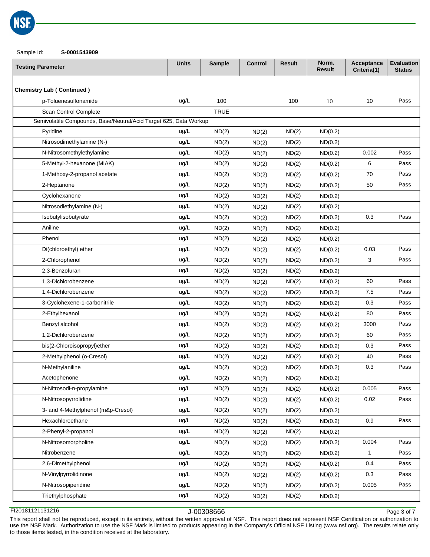

### Sample Id: **S-0001543909**

| <b>Testing Parameter</b>                                          | <b>Units</b> | <b>Sample</b> | <b>Control</b> | <b>Result</b> | Norm.<br>Result | Acceptance<br>Criteria(1) | <b>Evaluation</b><br><b>Status</b> |
|-------------------------------------------------------------------|--------------|---------------|----------------|---------------|-----------------|---------------------------|------------------------------------|
|                                                                   |              |               |                |               |                 |                           |                                    |
| <b>Chemistry Lab (Continued)</b>                                  |              |               |                |               |                 |                           |                                    |
| p-Toluenesulfonamide                                              | ug/L         | 100           |                | 100           | 10              | 10                        | Pass                               |
| Scan Control Complete                                             |              | <b>TRUE</b>   |                |               |                 |                           |                                    |
| Semivolatile Compounds, Base/Neutral/Acid Target 625, Data Workup |              |               |                |               |                 |                           |                                    |
| Pyridine                                                          | ug/L         | ND(2)         | ND(2)          | ND(2)         | ND(0.2)         |                           |                                    |
| Nitrosodimethylamine (N-)                                         | ug/L         | ND(2)         | ND(2)          | ND(2)         | ND(0.2)         |                           |                                    |
| N-Nitrosomethylethylamine                                         | ug/L         | ND(2)         | ND(2)          | ND(2)         | ND(0.2)         | 0.002                     | Pass                               |
| 5-Methyl-2-hexanone (MIAK)                                        | ug/L         | ND(2)         | ND(2)          | ND(2)         | ND(0.2)         | 6                         | Pass                               |
| 1-Methoxy-2-propanol acetate                                      | ug/L         | ND(2)         | ND(2)          | ND(2)         | ND(0.2)         | 70                        | Pass                               |
| 2-Heptanone                                                       | ug/L         | ND(2)         | ND(2)          | ND(2)         | ND(0.2)         | 50                        | Pass                               |
| Cyclohexanone                                                     | ug/L         | ND(2)         | ND(2)          | ND(2)         | ND(0.2)         |                           |                                    |
| Nitrosodiethylamine (N-)                                          | ug/L         | ND(2)         | ND(2)          | ND(2)         | ND(0.2)         |                           |                                    |
| Isobutylisobutyrate                                               | ug/L         | ND(2)         | ND(2)          | ND(2)         | ND(0.2)         | 0.3                       | Pass                               |
| Aniline                                                           | ug/L         | ND(2)         | ND(2)          | ND(2)         | ND(0.2)         |                           |                                    |
| Phenol                                                            | ug/L         | ND(2)         | ND(2)          | ND(2)         | ND(0.2)         |                           |                                    |
| Di(chloroethyl) ether                                             | ug/L         | ND(2)         | ND(2)          | ND(2)         | ND(0.2)         | 0.03                      | Pass                               |
| 2-Chlorophenol                                                    | ug/L         | ND(2)         | ND(2)          | ND(2)         | ND(0.2)         | 3                         | Pass                               |
| 2,3-Benzofuran                                                    | ug/L         | ND(2)         | ND(2)          | ND(2)         | ND(0.2)         |                           |                                    |
| 1,3-Dichlorobenzene                                               | ug/L         | ND(2)         | ND(2)          | ND(2)         | ND(0.2)         | 60                        | Pass                               |
| 1,4-Dichlorobenzene                                               | ug/L         | ND(2)         | ND(2)          | ND(2)         | ND(0.2)         | 7.5                       | Pass                               |
| 3-Cyclohexene-1-carbonitrile                                      | ug/L         | ND(2)         | ND(2)          | ND(2)         | ND(0.2)         | 0.3                       | Pass                               |
| 2-Ethylhexanol                                                    | ug/L         | ND(2)         | ND(2)          | ND(2)         | ND(0.2)         | 80                        | Pass                               |
| Benzyl alcohol                                                    | ug/L         | ND(2)         | ND(2)          | ND(2)         | ND(0.2)         | 3000                      | Pass                               |
| 1,2-Dichlorobenzene                                               | ug/L         | ND(2)         | ND(2)          | ND(2)         | ND(0.2)         | 60                        | Pass                               |
| bis(2-Chloroisopropyl)ether                                       | ug/L         | ND(2)         | ND(2)          | ND(2)         | ND(0.2)         | 0.3                       | Pass                               |
| 2-Methylphenol (o-Cresol)                                         | ug/L         | ND(2)         | ND(2)          | ND(2)         | ND(0.2)         | 40                        | Pass                               |
| N-Methylaniline                                                   | ug/L         | ND(2)         | ND(2)          | ND(2)         | ND(0.2)         | 0.3                       | Pass                               |
| Acetophenone                                                      | ug/L         | ND(2)         | ND(2)          | ND(2)         | ND(0.2)         |                           |                                    |
| N-Nitrosodi-n-propylamine                                         | ug/L         | ND(2)         | ND(2)          | ND(2)         | ND(0.2)         | 0.005                     | Pass                               |
| N-Nitrosopyrrolidine                                              | ug/L         | ND(2)         | ND(2)          | ND(2)         | ND(0.2)         | 0.02                      | Pass                               |
| 3- and 4-Methylphenol (m&p-Cresol)                                | ug/L         | ND(2)         | ND(2)          | ND(2)         | ND(0.2)         |                           |                                    |
| Hexachloroethane                                                  | ug/L         | ND(2)         | ND(2)          | ND(2)         | ND(0.2)         | 0.9                       | Pass                               |
| 2-Phenyl-2-propanol                                               | ug/L         | ND(2)         | ND(2)          | ND(2)         | ND(0.2)         |                           |                                    |
| N-Nitrosomorpholine                                               | ug/L         | ND(2)         | ND(2)          | ND(2)         | ND(0.2)         | 0.004                     | Pass                               |
| Nitrobenzene                                                      | ug/L         | ND(2)         | ND(2)          | ND(2)         | ND(0.2)         | $\mathbf{1}$              | Pass                               |
| 2,6-Dimethylphenol                                                | ug/L         | ND(2)         | ND(2)          | ND(2)         | ND(0.2)         | 0.4                       | Pass                               |
| N-Vinylpyrrolidinone                                              | ug/L         | ND(2)         | ND(2)          | ND(2)         | ND(0.2)         | 0.3                       | Pass                               |
| N-Nitrosopiperidine                                               | ug/L         | ND(2)         | ND(2)          | ND(2)         | ND(0.2)         | 0.005                     | Pass                               |
| Triethylphosphate                                                 | ug/L         | ND(2)         | ND(2)          | ND(2)         | ND(0.2)         |                           |                                    |
|                                                                   |              |               |                |               |                 |                           |                                    |

FI20181121131216 J-00308666

Page 3 of 7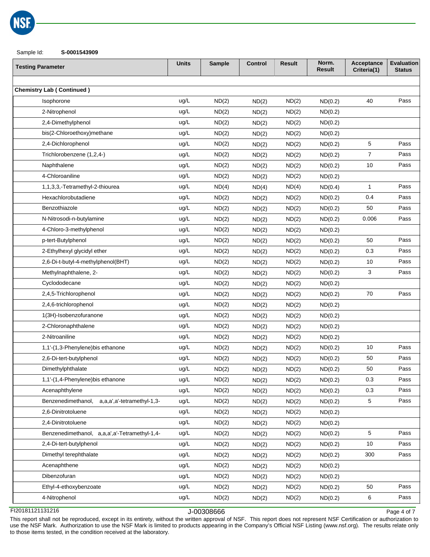

Sample Id: **S-0001543909**

| <b>Testing Parameter</b>                         | <b>Units</b> | <b>Sample</b> | <b>Control</b> | <b>Result</b> | Norm.<br>Result | Acceptance<br>Criteria(1) | <b>Evaluation</b><br><b>Status</b> |
|--------------------------------------------------|--------------|---------------|----------------|---------------|-----------------|---------------------------|------------------------------------|
|                                                  |              |               |                |               |                 |                           |                                    |
| <b>Chemistry Lab (Continued)</b>                 |              |               |                |               |                 |                           |                                    |
| Isophorone                                       | ug/L         | ND(2)         | ND(2)          | ND(2)         | ND(0.2)         | 40                        | Pass                               |
| 2-Nitrophenol                                    | ug/L         | ND(2)         | ND(2)          | ND(2)         | ND(0.2)         |                           |                                    |
| 2,4-Dimethylphenol                               | ug/L         | ND(2)         | ND(2)          | ND(2)         | ND(0.2)         |                           |                                    |
| bis(2-Chloroethoxy)methane                       | ug/L         | ND(2)         | ND(2)          | ND(2)         | ND(0.2)         |                           |                                    |
| 2,4-Dichlorophenol                               | ug/L         | ND(2)         | ND(2)          | ND(2)         | ND(0.2)         | 5                         | Pass                               |
| Trichlorobenzene (1,2,4-)                        | ug/L         | ND(2)         | ND(2)          | ND(2)         | ND(0.2)         | $\overline{7}$            | Pass                               |
| Naphthalene                                      | ug/L         | ND(2)         | ND(2)          | ND(2)         | ND(0.2)         | 10                        | Pass                               |
| 4-Chloroaniline                                  | ug/L         | ND(2)         | ND(2)          | ND(2)         | ND(0.2)         |                           |                                    |
| 1,1,3,3,-Tetramethyl-2-thiourea                  | ug/L         | ND(4)         | ND(4)          | ND(4)         | ND(0.4)         | $\mathbf{1}$              | Pass                               |
| Hexachlorobutadiene                              | ug/L         | ND(2)         | ND(2)          | ND(2)         | ND(0.2)         | 0.4                       | Pass                               |
| Benzothiazole                                    | ug/L         | ND(2)         | ND(2)          | ND(2)         | ND(0.2)         | 50                        | Pass                               |
| N-Nitrosodi-n-butylamine                         | ug/L         | ND(2)         | ND(2)          | ND(2)         | ND(0.2)         | 0.006                     | Pass                               |
| 4-Chloro-3-methylphenol                          | ug/L         | ND(2)         | ND(2)          | ND(2)         | ND(0.2)         |                           |                                    |
| p-tert-Butylphenol                               | ug/L         | ND(2)         | ND(2)          | ND(2)         | ND(0.2)         | 50                        | Pass                               |
| 2-Ethylhexyl glycidyl ether                      | ug/L         | ND(2)         | ND(2)          | ND(2)         | ND(0.2)         | 0.3                       | Pass                               |
| 2,6-Di-t-butyl-4-methylphenol(BHT)               | ug/L         | ND(2)         | ND(2)          | ND(2)         | ND(0.2)         | 10                        | Pass                               |
| Methylnaphthalene, 2-                            | ug/L         | ND(2)         | ND(2)          | ND(2)         | ND(0.2)         | 3                         | Pass                               |
| Cyclododecane                                    | ug/L         | ND(2)         | ND(2)          | ND(2)         | ND(0.2)         |                           |                                    |
| 2,4,5-Trichlorophenol                            | ug/L         | ND(2)         | ND(2)          | ND(2)         | ND(0.2)         | 70                        | Pass                               |
| 2,4,6-trichlorophenol                            | ug/L         | ND(2)         | ND(2)          | ND(2)         | ND(0.2)         |                           |                                    |
| 1(3H)-Isobenzofuranone                           | ug/L         | ND(2)         | ND(2)          | ND(2)         | ND(0.2)         |                           |                                    |
| 2-Chloronaphthalene                              | ug/L         | ND(2)         | ND(2)          | ND(2)         | ND(0.2)         |                           |                                    |
| 2-Nitroaniline                                   | ug/L         | ND(2)         | ND(2)          | ND(2)         | ND(0.2)         |                           |                                    |
| 1,1'-(1,3-Phenylene)bis ethanone                 | ug/L         | ND(2)         | ND(2)          | ND(2)         | ND(0.2)         | 10                        | Pass                               |
| 2,6-Di-tert-butylphenol                          | ug/L         | ND(2)         | ND(2)          | ND(2)         | ND(0.2)         | 50                        | Pass                               |
| Dimethylphthalate                                | ug/L         | ND(2)         | ND(2)          | ND(2)         | ND(0.2)         | 50                        | Pass                               |
| 1,1'-(1,4-Phenylene)bis ethanone                 | ug/L         | ND(2)         | ND(2)          | ND(2)         | ND(0.2)         | 0.3                       | Pass                               |
| Acenaphthylene                                   | ug/L         | ND(2)         | ND(2)          | ND(2)         | ND(0.2)         | 0.3                       | Pass                               |
| Benzenedimethanol,<br>a,a,a',a'-tetramethyl-1,3- | ug/L         | ND(2)         | ND(2)          | ND(2)         | ND(0.2)         | $\mathbf{5}$              | Pass                               |
| 2,6-Dinitrotoluene                               | ug/L         | ND(2)         | ND(2)          | ND(2)         | ND(0.2)         |                           |                                    |
| 2,4-Dinitrotoluene                               | ug/L         | ND(2)         | ND(2)          | ND(2)         | ND(0.2)         |                           |                                    |
| Benzenedimethanol, a,a,a',a'-Tetramethyl-1,4-    | ug/L         | ND(2)         | ND(2)          | ND(2)         | ND(0.2)         | 5                         | Pass                               |
| 2,4-Di-tert-butylphenol                          | ug/L         | ND(2)         | ND(2)          | ND(2)         | ND(0.2)         | 10                        | Pass                               |
| Dimethyl terephthalate                           | ug/L         | ND(2)         | ND(2)          | ND(2)         | ND(0.2)         | 300                       | Pass                               |
| Acenaphthene                                     | ug/L         | ND(2)         | ND(2)          | ND(2)         | ND(0.2)         |                           |                                    |
| Dibenzofuran                                     | ug/L         | ND(2)         | ND(2)          | ND(2)         | ND(0.2)         |                           |                                    |
| Ethyl-4-ethoxybenzoate                           | ug/L         | ND(2)         | ND(2)          | ND(2)         | ND(0.2)         | 50                        | Pass                               |
| 4-Nitrophenol                                    | ug/L         | ND(2)         | ND(2)          | ND(2)         | ND(0.2)         | 6                         | Pass                               |
|                                                  |              |               |                |               |                 |                           |                                    |

FI20181121131216 J-00308666

Page 4 of 7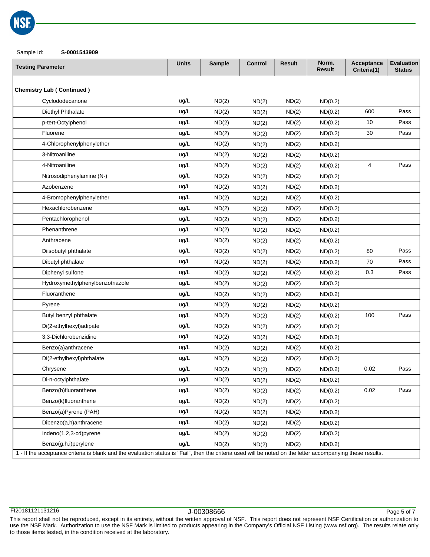

Sample Id: **S-0001543909**

| <b>Testing Parameter</b>                                                                                                                                    | <b>Units</b> | <b>Sample</b> | <b>Control</b> | <b>Result</b> | Norm.<br><b>Result</b> | Acceptance<br>Criteria(1) | <b>Evaluation</b><br><b>Status</b> |
|-------------------------------------------------------------------------------------------------------------------------------------------------------------|--------------|---------------|----------------|---------------|------------------------|---------------------------|------------------------------------|
|                                                                                                                                                             |              |               |                |               |                        |                           |                                    |
| <b>Chemistry Lab (Continued)</b>                                                                                                                            |              |               |                |               |                        |                           |                                    |
| Cyclododecanone                                                                                                                                             | ug/L         | ND(2)         | ND(2)          | ND(2)         | ND(0.2)                |                           |                                    |
| Diethyl Phthalate                                                                                                                                           | ug/L         | ND(2)         | ND(2)          | ND(2)         | ND(0.2)                | 600                       | Pass                               |
| p-tert-Octylphenol                                                                                                                                          | ug/L         | ND(2)         | ND(2)          | ND(2)         | ND(0.2)                | 10                        | Pass                               |
| Fluorene                                                                                                                                                    | ug/L         | ND(2)         | ND(2)          | ND(2)         | ND(0.2)                | 30                        | Pass                               |
| 4-Chlorophenylphenylether                                                                                                                                   | ug/L         | ND(2)         | ND(2)          | ND(2)         | ND(0.2)                |                           |                                    |
| 3-Nitroaniline                                                                                                                                              | ug/L         | ND(2)         | ND(2)          | ND(2)         | ND(0.2)                |                           |                                    |
| 4-Nitroaniline                                                                                                                                              | ug/L         | ND(2)         | ND(2)          | ND(2)         | ND(0.2)                | 4                         | Pass                               |
| Nitrosodiphenylamine (N-)                                                                                                                                   | ug/L         | ND(2)         | ND(2)          | ND(2)         | ND(0.2)                |                           |                                    |
| Azobenzene                                                                                                                                                  | ug/L         | ND(2)         | ND(2)          | ND(2)         | ND(0.2)                |                           |                                    |
| 4-Bromophenylphenylether                                                                                                                                    | ug/L         | ND(2)         | ND(2)          | ND(2)         | ND(0.2)                |                           |                                    |
| Hexachlorobenzene                                                                                                                                           | ug/L         | ND(2)         | ND(2)          | ND(2)         | ND(0.2)                |                           |                                    |
| Pentachlorophenol                                                                                                                                           | ug/L         | ND(2)         | ND(2)          | ND(2)         | ND(0.2)                |                           |                                    |
| Phenanthrene                                                                                                                                                | ug/L         | ND(2)         | ND(2)          | ND(2)         | ND(0.2)                |                           |                                    |
| Anthracene                                                                                                                                                  | ug/L         | ND(2)         | ND(2)          | ND(2)         | ND(0.2)                |                           |                                    |
| Diisobutyl phthalate                                                                                                                                        | ug/L         | ND(2)         | ND(2)          | ND(2)         | ND(0.2)                | 80                        | Pass                               |
| Dibutyl phthalate                                                                                                                                           | ug/L         | ND(2)         | ND(2)          | ND(2)         | ND(0.2)                | 70                        | Pass                               |
| Diphenyl sulfone                                                                                                                                            | ug/L         | ND(2)         | ND(2)          | ND(2)         | ND(0.2)                | 0.3                       | Pass                               |
| Hydroxymethylphenylbenzotriazole                                                                                                                            | ug/L         | ND(2)         | ND(2)          | ND(2)         | ND(0.2)                |                           |                                    |
| Fluoranthene                                                                                                                                                | ug/L         | ND(2)         | ND(2)          | ND(2)         | ND(0.2)                |                           |                                    |
| Pyrene                                                                                                                                                      | ug/L         | ND(2)         | ND(2)          | ND(2)         | ND(0.2)                |                           |                                    |
| Butyl benzyl phthalate                                                                                                                                      | ug/L         | ND(2)         | ND(2)          | ND(2)         | ND(0.2)                | 100                       | Pass                               |
| Di(2-ethylhexyl)adipate                                                                                                                                     | ug/L         | ND(2)         | ND(2)          | ND(2)         | ND(0.2)                |                           |                                    |
| 3,3-Dichlorobenzidine                                                                                                                                       | ug/L         | ND(2)         | ND(2)          | ND(2)         | ND(0.2)                |                           |                                    |
| Benzo(a)anthracene                                                                                                                                          | ug/L         | ND(2)         | ND(2)          | ND(2)         | ND(0.2)                |                           |                                    |
| Di(2-ethylhexyl)phthalate                                                                                                                                   | ug/L         | ND(2)         | ND(2)          | ND(2)         | ND(0.2)                |                           |                                    |
| Chrysene                                                                                                                                                    | ug/L         | ND(2)         | ND(2)          | ND(2)         | ND(0.2)                | 0.02                      | Pass                               |
| Di-n-octylphthalate                                                                                                                                         | ug/L         | ND(2)         | ND(2)          | ND(2)         | ND(0.2)                |                           |                                    |
| Benzo(b)fluoranthene                                                                                                                                        | ug/L         | ND(2)         | ND(2)          | ND(2)         | ND(0.2)                | 0.02                      | Pass                               |
| Benzo(k)fluoranthene                                                                                                                                        | ug/L         | ND(2)         | ND(2)          | ND(2)         | ND(0.2)                |                           |                                    |
| Benzo(a)Pyrene (PAH)                                                                                                                                        | ug/L         | ND(2)         | ND(2)          | ND(2)         | ND(0.2)                |                           |                                    |
| Dibenzo(a,h)anthracene                                                                                                                                      | ug/L         | ND(2)         | ND(2)          | ND(2)         | ND(0.2)                |                           |                                    |
| Indeno(1,2,3-cd)pyrene                                                                                                                                      | ug/L         | ND(2)         | ND(2)          | ND(2)         | ND(0.2)                |                           |                                    |
| Benzo(g,h,i)perylene                                                                                                                                        | ug/L         | ND(2)         | ND(2)          | ND(2)         | ND(0.2)                |                           |                                    |
| 1 - If the acceptance criteria is blank and the evaluation status is "Fail", then the criteria used will be noted on the letter accompanying these results. |              |               |                |               |                        |                           |                                    |

| 1 - If the acceptance criteria is blank and the evaluation status is "Fail", then the criteria used will be noted on the letter accompanying these results.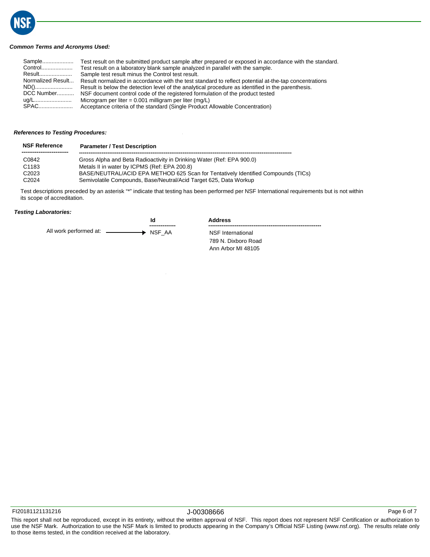

## *Common Terms and Acronyms Used:*

| Sample<br>Control | Test result on the submitted product sample after prepared or exposed in accordance with the standard. |
|-------------------|--------------------------------------------------------------------------------------------------------|
|                   | Test result on a laboratory blank sample analyzed in parallel with the sample.                         |
| Result            | Sample test result minus the Control test result.                                                      |
| Normalized Result | Result normalized in accordance with the test standard to reflect potential at-the-tap concentrations  |
| ND()              | Result is below the detection level of the analytical procedure as identified in the parenthesis.      |
| DCC Number        | NSF document control code of the registered formulation of the product tested                          |
| ug/L……………………      | Microgram per liter = $0.001$ milligram per liter (mg/L)                                               |
| SPAC              | Acceptance criteria of the standard (Single Product Allowable Concentration)                           |

## *References to Testing Procedures:*

| <b>NSF Reference</b> | <b>Parameter / Test Description</b>                                               |
|----------------------|-----------------------------------------------------------------------------------|
| C0842                | Gross Alpha and Beta Radioactivity in Drinking Water (Ref: EPA 900.0)             |
| C1183                | Metals II in water by ICPMS (Ref: EPA 200.8)                                      |
| C <sub>2023</sub>    | BASE/NEUTRAL/ACID EPA METHOD 625 Scan for Tentatively Identified Compounds (TICs) |
| C <sub>2024</sub>    | Semivolatile Compounds, Base/Neutral/Acid Target 625, Data Workup                 |

**Id**

Test descriptions preceded by an asterisk "\*" indicate that testing has been performed per NSF International requirements but is not within its scope of accreditation.

## *Testing Laboratories:*

**--------------** All work performed at:  $-$ NSF\_AA

| <b>Address</b>      |
|---------------------|
| NSF International   |
| 789 N. Dixboro Road |

Ann Arbor MI 48105